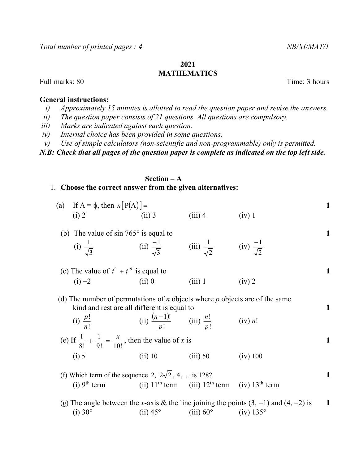## 2021 MATHEMATICS

Full marks: 80 Time: 3 hours

### General instructions:

- i) Approximately 15 minutes is allotted to read the question paper and revise the answers.
- ii) The question paper consists of 21 questions. All questions are compulsory.
- iii) Marks are indicated against each question.
- iv) Internal choice has been provided in some questions.
- v) Use of simple calculators (non-scientific and non-programmable) only is permitted.

N.B: Check that all pages of the question paper is complete as indicated on the top left side.

# Section – A

1. Choose the correct answer from the given alternatives:

| (a) If $A = \phi$ , then $n[P(A)] =$ |          |           |        |  |
|--------------------------------------|----------|-----------|--------|--|
| (i) 2                                | $(ii)$ 3 | $(iii)$ 4 | (iv) 1 |  |
|                                      |          |           |        |  |

- (b) The value of  $\sin 765^\circ$  is equal to 1 (i) 3  $\frac{1}{\sqrt{1}}$  (ii) 3  $\frac{-1}{\sqrt{ }}$  (iii) 2  $\frac{1}{\sqrt{1}}$  (iv) 2 1
- (c) The value of  $i^9 + i^{19}$  is equal to 1 (i)  $-2$  (ii) 0 (iii) 1 (iv) 2
- (d) The number of permutations of *n* objects where *p* objects are of the same kind and rest are all different is equal to 1
- (i) ! ! n  $\frac{p!}{(ii)}$   $\frac{(n-1)!}{(iii)}$   $\frac{n!}{(iv)}$ !  $1$ )! p  $\frac{n-1)!}{\cdot}$  (iii) ! ! p n  $(iv)$  *n!*  (e) If 9! 10! 1 8!  $\frac{1}{\gamma} + \frac{1}{\gamma} = \frac{x}{100}$ , then the value of x is 1 (i) 5 (ii) 10 (iii) 50 (iv) 100
	- (f) Which term of the sequence 2,  $2\sqrt{2}$ , 4, ... is 128? (i)  $9<sup>th</sup>$  term (ii)  $11<sup>th</sup>$  term (iii)  $12<sup>th</sup>$  term (iv)  $13<sup>th</sup>$  term
	- (g) The angle between the x-axis & the line joining the points  $(3, -1)$  and  $(4, -2)$  is 1 (i)  $30^{\circ}$  (ii)  $45^{\circ}$  (iii)  $60^{\circ}$  (iv)  $135^{\circ}$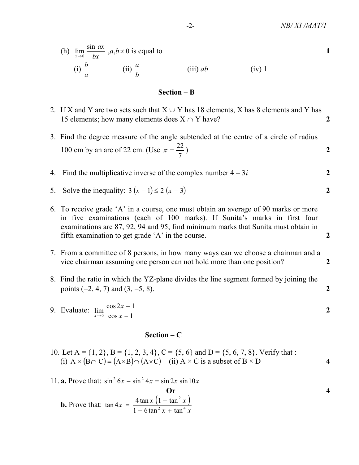(h) 
$$
\lim_{x \to 0} \frac{\sin ax}{bx}
$$
,  $a, b \ne 0$  is equal to  
\n(i)  $\frac{b}{a}$  (ii)  $\frac{a}{b}$  (iii)  $ab$  (iv) 1

## Section – B

- 2. If X and Y are two sets such that  $X \cup Y$  has 18 elements, X has 8 elements and Y has 15 elements; how many elements does  $X \cap Y$  have?
- 3. Find the degree measure of the angle subtended at the centre of a circle of radius 100 cm by an arc of 22 cm. (Use 7  $\pi = \frac{22}{2}$  ) 2

4. Find the multiplicative inverse of the complex number 
$$
4 - 3i
$$
 2

- 5. Solve the inequality:  $3(x 1) \le 2(x 3)$
- 6. To receive grade 'A' in a course, one must obtain an average of 90 marks or more in five examinations (each of 100 marks). If Sunita's marks in first four examinations are 87, 92, 94 and 95, find minimum marks that Sunita must obtain in fifth examination to get grade 'A' in the course. 2
- 7. From a committee of 8 persons, in how many ways can we choose a chairman and a vice chairman assuming one person can not hold more than one position?
- 8. Find the ratio in which the YZ-plane divides the line segment formed by joining the points  $(-2, 4, 7)$  and  $(3, -5, 8)$ . 2

9. Evaluate: 
$$
\lim_{x \to 0} \frac{\cos 2x - 1}{\cos x - 1}
$$

#### Section – C

- 10. Let A =  $\{1, 2\}$ , B =  $\{1, 2, 3, 4\}$ , C =  $\{5, 6\}$  and D =  $\{5, 6, 7, 8\}$ . Verify that : (i)  $A \times (B \cap C) = (A \times B) \cap (A \times C)$  (ii)  $A \times C$  is a subset of  $B \times D$  4
- 11. **a.** Prove that:  $\sin^2 6x \sin^2 4x = \sin 2x \sin 10x$

**Or**  
**b.** Prove that: 
$$
\tan 4x = \frac{4 \tan x (1 - \tan^2 x)}{1 - 6 \tan^2 x + \tan^4 x}
$$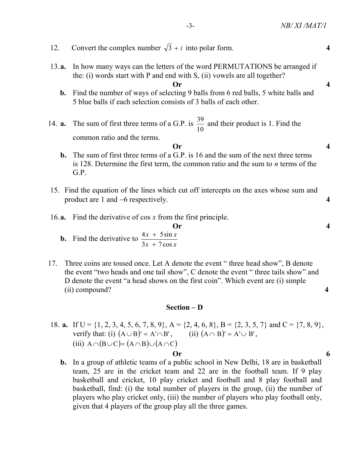| 12.                      | Convert the complex number $\sqrt{3} + i$ into polar form.                                                                                                                                                                                                                                                           | 4                |
|--------------------------|----------------------------------------------------------------------------------------------------------------------------------------------------------------------------------------------------------------------------------------------------------------------------------------------------------------------|------------------|
| 13. a.<br>$\mathbf{b}$ . | In how many ways can the letters of the word PERMUTATIONS be arranged if<br>the: (i) words start with P and end with S, (ii) vowels are all together?<br>Or<br>Find the number of ways of selecting 9 balls from 6 red balls, 5 white balls and<br>5 blue balls if each selection consists of 3 balls of each other. | $\boldsymbol{4}$ |
| 14. a.<br>b.             | The sum of first three terms of a G.P. is $\frac{39}{10}$ and their product is 1. Find the<br>common ratio and the terms.<br>Or<br>The sum of first three terms of a G.P. is 16 and the sum of the next three terms<br>is 128. Determine the first term, the common ratio and the sum to $n$ terms of the<br>G.P.    | 4                |
|                          | 15. Find the equation of the lines which cut off intercepts on the axes whose sum and<br>product are 1 and $-6$ respectively.                                                                                                                                                                                        | 4                |
|                          | 16. $\mathbf{a}$ . Find the derivative of cos x from the first principle.<br><b>Or</b><br><b>b.</b> Find the derivative to $\frac{4x + 5\sin x}{3x + 7\cos x}$                                                                                                                                                       | 4                |
| 17.                      | Three coins are tossed once. Let A denote the event "three head show", B denote<br>the event "two heads and one tail show", C denote the event "three tails show" and<br>D denote the event "a head shows on the first coin". Which event are (i) simple<br>(ii) compound?                                           | 4                |
|                          | $Section - D$                                                                                                                                                                                                                                                                                                        |                  |
|                          |                                                                                                                                                                                                                                                                                                                      |                  |

- 18. **a.** If  $U = \{1, 2, 3, 4, 5, 6, 7, 8, 9\}$ ,  $A = \{2, 4, 6, 8\}$ ,  $B = \{2, 3, 5, 7\}$  and  $C = \{7, 8, 9\}$ , verify that: (i)  $(A \cup B)' = A' \cap B'$ , (ii)  $(A \cap B)' = A' \cup B'$ , (iii)  $A \cap (B \cup C) = (A \cap B) \cup (A \cap C)$  $\overline{\text{Or}}$  6
	- b. In a group of athletic teams of a public school in New Delhi, 18 are in basketball team, 25 are in the cricket team and 22 are in the football team. If 9 play basketball and cricket, 10 play cricket and football and 8 play football and basketball, find: (i) the total number of players in the group, (ii) the number of players who play cricket only, (iii) the number of players who play football only, given that 4 players of the group play all the three games.